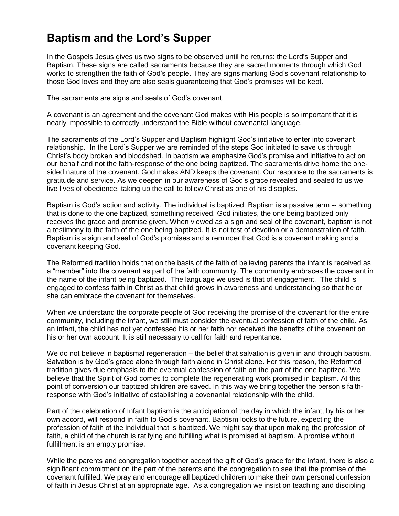# **Baptism and the Lord's Supper**

In the Gospels Jesus gives us two signs to be observed until he returns: the Lord's Supper and Baptism. These signs are called sacraments because they are sacred moments through which God works to strengthen the faith of God's people. They are signs marking God's covenant relationship to those God loves and they are also seals guaranteeing that God's promises will be kept.

The sacraments are signs and seals of God's covenant.

A covenant is an agreement and the covenant God makes with His people is so important that it is nearly impossible to correctly understand the Bible without covenantal language.

The sacraments of the Lord's Supper and Baptism highlight God's initiative to enter into covenant relationship. In the Lord's Supper we are reminded of the steps God initiated to save us through Christ's body broken and bloodshed. In baptism we emphasize God's promise and initiative to act on our behalf and not the faith-response of the one being baptized. The sacraments drive home the onesided nature of the covenant. God makes AND keeps the covenant. Our response to the sacraments is gratitude and service. As we deepen in our awareness of God's grace revealed and sealed to us we live lives of obedience, taking up the call to follow Christ as one of his disciples.

Baptism is God's action and activity. The individual is baptized. Baptism is a passive term -- something that is done to the one baptized, something received. God initiates, the one being baptized only receives the grace and promise given. When viewed as a sign and seal of the covenant, baptism is not a testimony to the faith of the one being baptized. It is not test of devotion or a demonstration of faith. Baptism is a sign and seal of God's promises and a reminder that God is a covenant making and a covenant keeping God.

The Reformed tradition holds that on the basis of the faith of believing parents the infant is received as a "member" into the covenant as part of the faith community. The community embraces the covenant in the name of the infant being baptized. The language we used is that of engagement. The child is engaged to confess faith in Christ as that child grows in awareness and understanding so that he or she can embrace the covenant for themselves.

When we understand the corporate people of God receiving the promise of the covenant for the entire community, including the infant, we still must consider the eventual confession of faith of the child. As an infant, the child has not yet confessed his or her faith nor received the benefits of the covenant on his or her own account. It is still necessary to call for faith and repentance.

We do not believe in baptismal regeneration – the belief that salvation is given in and through baptism. Salvation is by God's grace alone through faith alone in Christ alone. For this reason, the Reformed tradition gives due emphasis to the eventual confession of faith on the part of the one baptized. We believe that the Spirit of God comes to complete the regenerating work promised in baptism. At this point of conversion our baptized children are saved. In this way we bring together the person's faithresponse with God's initiative of establishing a covenantal relationship with the child.

Part of the celebration of Infant baptism is the anticipation of the day in which the infant, by his or her own accord, will respond in faith to God's covenant. Baptism looks to the future, expecting the profession of faith of the individual that is baptized. We might say that upon making the profession of faith, a child of the church is ratifying and fulfilling what is promised at baptism. A promise without fulfillment is an empty promise.

While the parents and congregation together accept the gift of God's grace for the infant, there is also a significant commitment on the part of the parents and the congregation to see that the promise of the covenant fulfilled. We pray and encourage all baptized children to make their own personal confession of faith in Jesus Christ at an appropriate age. As a congregation we insist on teaching and discipling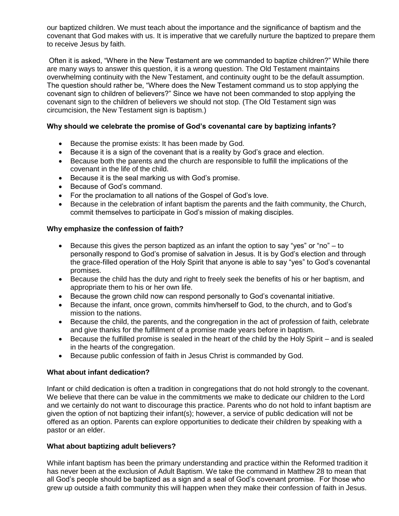our baptized children. We must teach about the importance and the significance of baptism and the covenant that God makes with us. It is imperative that we carefully nurture the baptized to prepare them to receive Jesus by faith.

Often it is asked, "Where in the New Testament are we commanded to baptize children?" While there are many ways to answer this question, it is a wrong question. The Old Testament maintains overwhelming continuity with the New Testament, and continuity ought to be the default assumption. The question should rather be, "Where does the New Testament command us to stop applying the covenant sign to children of believers?" Since we have not been commanded to stop applying the covenant sign to the children of believers we should not stop. (The Old Testament sign was circumcision, the New Testament sign is baptism.)

## **Why should we celebrate the promise of God's covenantal care by baptizing infants?**

- Because the promise exists: It has been made by God.
- Because it is a sign of the covenant that is a reality by God's grace and election.
- Because both the parents and the church are responsible to fulfill the implications of the covenant in the life of the child.
- Because it is the seal marking us with God's promise.
- Because of God's command.
- For the proclamation to all nations of the Gospel of God's love.
- Because in the celebration of infant baptism the parents and the faith community, the Church, commit themselves to participate in God's mission of making disciples.

### **Why emphasize the confession of faith?**

- Because this gives the person baptized as an infant the option to say "yes" or "no"  $-$  to personally respond to God's promise of salvation in Jesus. It is by God's election and through the grace-filled operation of the Holy Spirit that anyone is able to say "yes" to God's covenantal promises.
- Because the child has the duty and right to freely seek the benefits of his or her baptism, and appropriate them to his or her own life.
- Because the grown child now can respond personally to God's covenantal initiative.
- Because the infant, once grown, commits him/herself to God, to the church, and to God's mission to the nations.
- Because the child, the parents, and the congregation in the act of profession of faith, celebrate and give thanks for the fulfillment of a promise made years before in baptism.
- Because the fulfilled promise is sealed in the heart of the child by the Holy Spirit and is sealed in the hearts of the congregation.
- Because public confession of faith in Jesus Christ is commanded by God.

### **What about infant dedication?**

Infant or child dedication is often a tradition in congregations that do not hold strongly to the covenant. We believe that there can be value in the commitments we make to dedicate our children to the Lord and we certainly do not want to discourage this practice. Parents who do not hold to infant baptism are given the option of not baptizing their infant(s); however, a service of public dedication will not be offered as an option. Parents can explore opportunities to dedicate their children by speaking with a pastor or an elder.

### **What about baptizing adult believers?**

While infant baptism has been the primary understanding and practice within the Reformed tradition it has never been at the exclusion of Adult Baptism. We take the command in Matthew 28 to mean that all God's people should be baptized as a sign and a seal of God's covenant promise. For those who grew up outside a faith community this will happen when they make their confession of faith in Jesus.